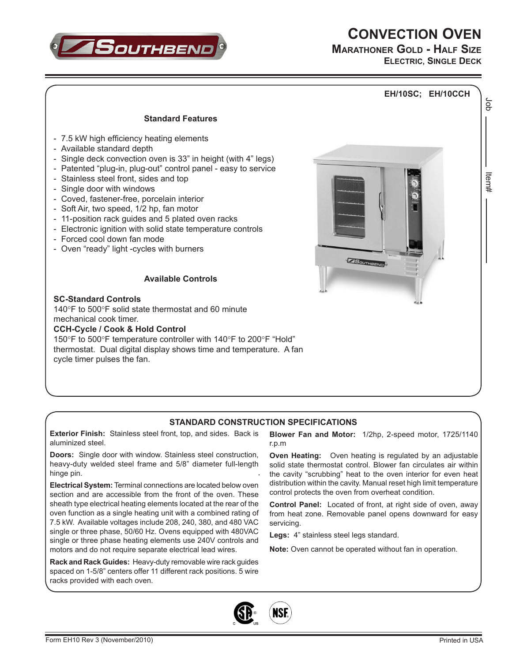

# **CONVECTION OVEN**

**Marathoner Gold - Half Size**

**ELECTRIC, SINGLE DECK** 

Job Item#

ltem#

δL

# **EH/10SC; EH/10CCH Standard Features** - 7.5 kW high efficiency heating elements - Available standard depth - Single deck convection oven is 33" in height (with 4" legs) - Patented "plug-in, plug-out" control panel - easy to service - Stainless steel front, sides and top - Single door with windows - Coved, fastener-free, porcelain interior - Soft Air, two speed, 1/2 hp, fan motor - 11-position rack guides and 5 plated oven racks - Electronic ignition with solid state temperature controls - Forced cool down fan mode - Oven "ready" light -cycles with burners SOUTHBEND **Available Controls SC-Standard Controls** 140°F to 500°F solid state thermostat and 60 minute mechanical cook timer. **CCH-Cycle / Cook & Hold Control** 150°F to 500°F temperature controller with 140°F to 200°F "Hold" thermostat. Dual digital display shows time and temperature. A fan cycle timer pulses the fan.

## **STANDARD CONSTRUCTION SPECIFICATIONS**

**Exterior Finish:** Stainless steel front, top, and sides. Back is aluminized steel.

**Doors:** Single door with window. Stainless steel construction, heavy-duty welded steel frame and 5/8" diameter full-length hinge pin.

**Electrical System:** Terminal connections are located below oven section and are accessible from the front of the oven. These sheath type electrical heating elements located at the rear of the oven function as a single heating unit with a combined rating of 7.5 kW. Available voltages include 208, 240, 380, and 480 VAC single or three phase, 50/60 Hz. Ovens equipped with 480VAC single or three phase heating elements use 240V controls and motors and do not require separate electrical lead wires.

**Rack and Rack Guides:** Heavy-duty removable wire rack guides spaced on 1-5/8" centers offer 11 different rack positions. 5 wire racks provided with each oven.

**Blower Fan and Motor:** 1/2hp, 2-speed motor, 1725/1140 r.p.m

**Oven Heating:** Oven heating is regulated by an adjustable solid state thermostat control. Blower fan circulates air within the cavity "scrubbing" heat to the oven interior for even heat distribution within the cavity. Manual reset high limit temperature control protects the oven from overheat condition.

**Control Panel:** Located of front, at right side of oven, away from heat zone. Removable panel opens downward for easy servicing.

**Legs:** 4" stainless steel legs standard.

**Note:** Oven cannot be operated without fan in operation.